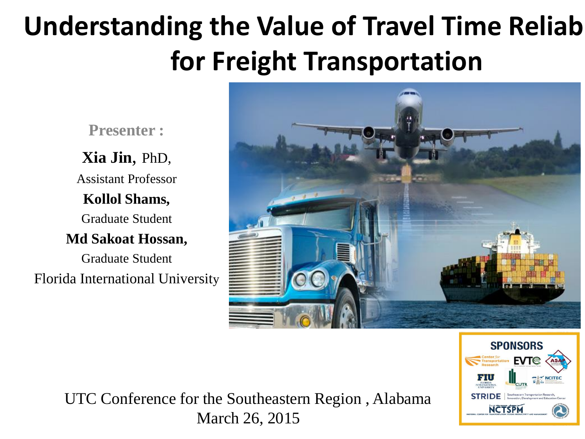#### **Understanding the Value of Travel Time Reliab for Freight Transportation**

**Presenter :**

**Xia Jin**, PhD, Assistant Professor **Kollol Shams,**  Graduate Student **Md Sakoat Hossan,**  Graduate Student Florida International University





UTC Conference for the Southeastern Region , Alabama March 26, 2015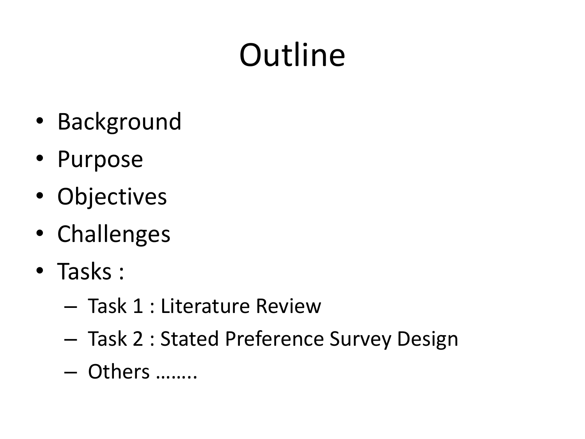# **Outline**

- Background
- Purpose
- Objectives
- Challenges
- Tasks :
	- Task 1 : Literature Review
	- Task 2 : Stated Preference Survey Design
	- Others ……..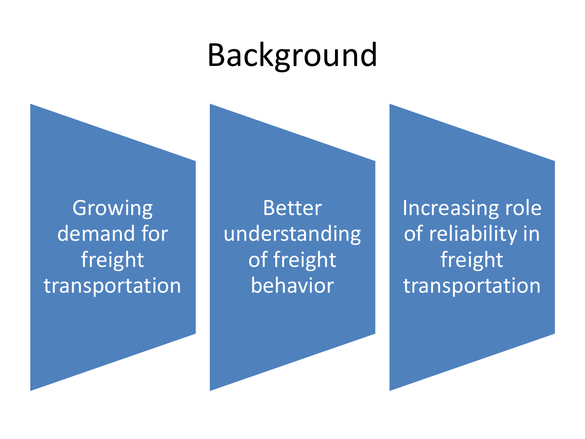#### Background

Growing demand for freight transportation

Better understanding of freight behavior

Increasing role of reliability in freight transportation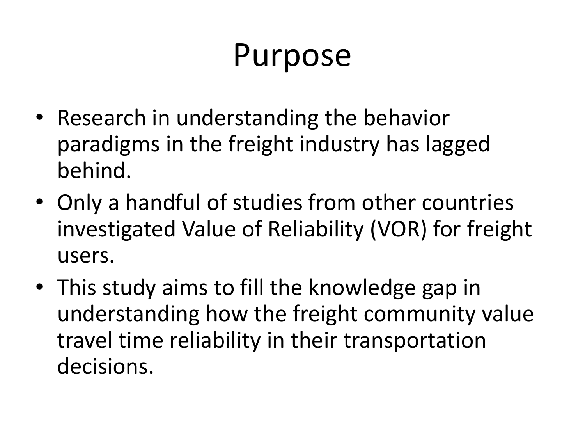#### Purpose

- Research in understanding the behavior paradigms in the freight industry has lagged behind.
- Only a handful of studies from other countries investigated Value of Reliability (VOR) for freight users.
- This study aims to fill the knowledge gap in understanding how the freight community value travel time reliability in their transportation decisions.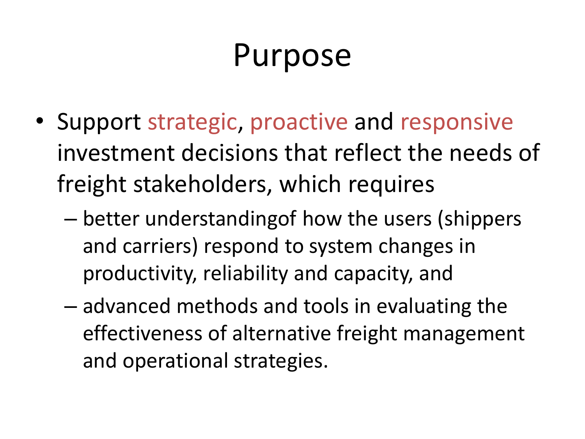#### Purpose

- Support strategic, proactive and responsive investment decisions that reflect the needs of freight stakeholders, which requires
	- better understandingof how the users (shippers and carriers) respond to system changes in productivity, reliability and capacity, and
	- advanced methods and tools in evaluating the effectiveness of alternative freight management and operational strategies.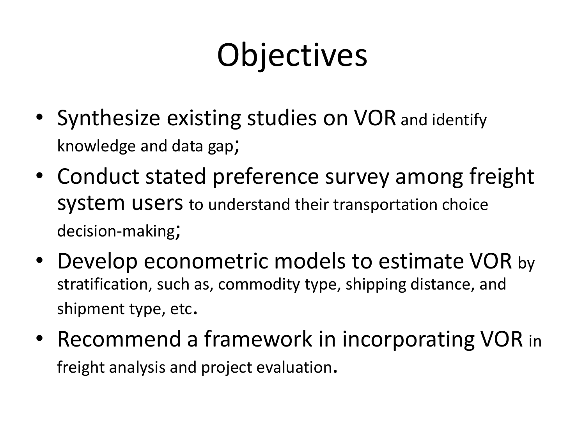# Objectives

- Synthesize existing studies on VOR and identify knowledge and data gap;
- Conduct stated preference survey among freight system users to understand their transportation choice decision-making;
- Develop econometric models to estimate VOR by stratification, such as, commodity type, shipping distance, and shipment type, etc.
- Recommend a framework in incorporating VOR in freight analysis and project evaluation.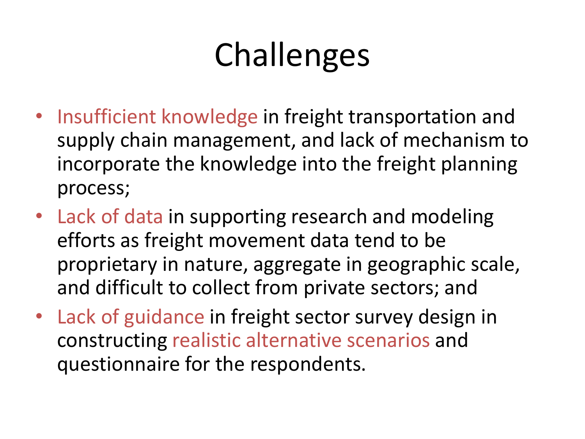## Challenges

- Insufficient knowledge in freight transportation and supply chain management, and lack of mechanism to incorporate the knowledge into the freight planning process;
- Lack of data in supporting research and modeling efforts as freight movement data tend to be proprietary in nature, aggregate in geographic scale, and difficult to collect from private sectors; and
- Lack of guidance in freight sector survey design in constructing realistic alternative scenarios and questionnaire for the respondents.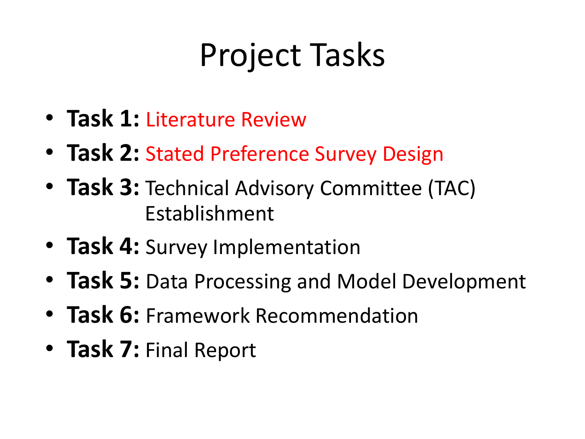## Project Tasks

- **Task 1:** Literature Review
- **Task 2:** Stated Preference Survey Design
- **Task 3:** Technical Advisory Committee (TAC) Establishment
- **Task 4:** Survey Implementation
- **Task 5:** Data Processing and Model Development
- **Task 6:** Framework Recommendation
- **Task 7:** Final Report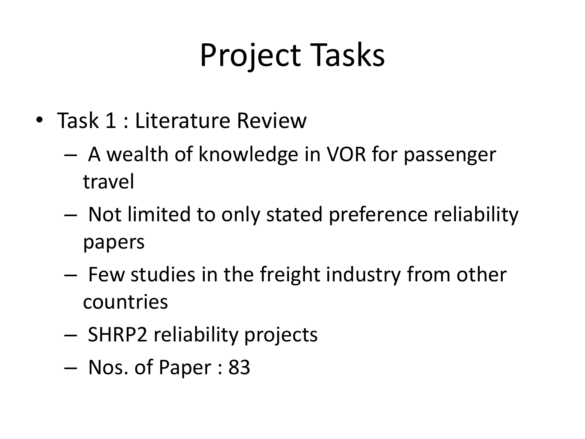## Project Tasks

- Task 1 : Literature Review
	- A wealth of knowledge in VOR for passenger travel
	- Not limited to only stated preference reliability papers
	- Few studies in the freight industry from other countries
	- SHRP2 reliability projects
	- Nos. of Paper : 83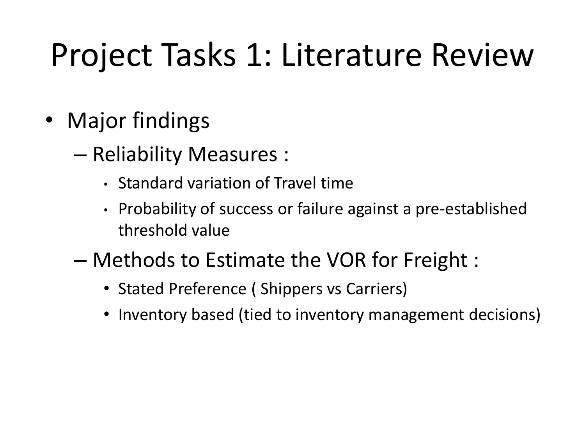## Project Tasks 1: Literature Review

- Major findings
	- Reliability Measures :
		- Standard variation of Travel time
		- Probability of success or failure against a pre-established threshold value
	- Methods to Estimate the VOR for Freight :
		- Stated Preference ( Shippers vs Carriers)
		- Inventory based (tied to inventory management decisions)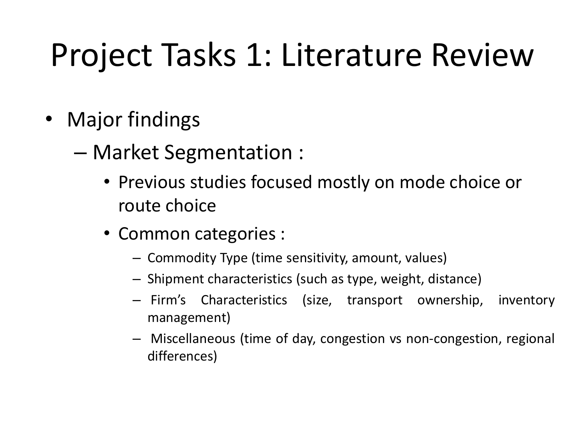## Project Tasks 1: Literature Review

- Major findings
	- Market Segmentation :
		- Previous studies focused mostly on mode choice or route choice
		- Common categories :
			- Commodity Type (time sensitivity, amount, values)
			- Shipment characteristics (such as type, weight, distance)
			- Firm's Characteristics (size, transport ownership, inventory management)
			- Miscellaneous (time of day, congestion vs non-congestion, regional differences)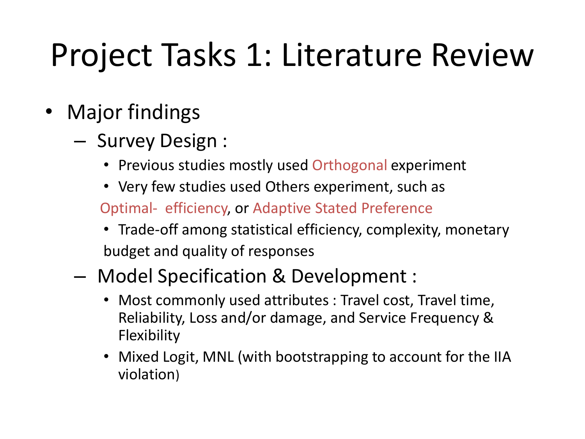## Project Tasks 1: Literature Review

- **Major findings** 
	- Survey Design :
		- Previous studies mostly used Orthogonal experiment
		- Very few studies used Others experiment, such as

Optimal- efficiency, or Adaptive Stated Preference

- Trade-off among statistical efficiency, complexity, monetary budget and quality of responses
- Model Specification & Development :
	- Most commonly used attributes : Travel cost, Travel time, Reliability, Loss and/or damage, and Service Frequency & **Flexibility**
	- Mixed Logit, MNL (with bootstrapping to account for the IIA violation)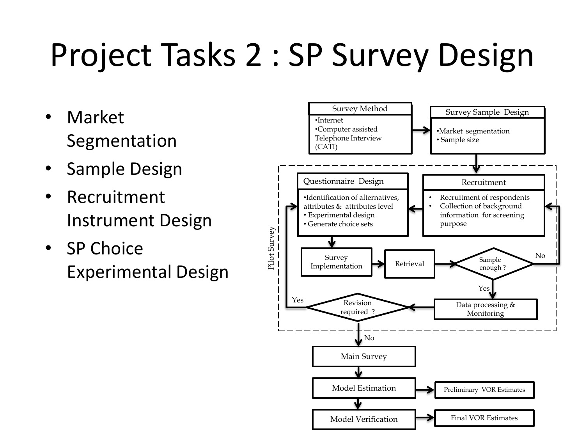# Project Tasks 2 : SP Survey Design

- Market Segmentation
- Sample Design
- Recruitment Instrument Design
- SP Choice Experimental Design

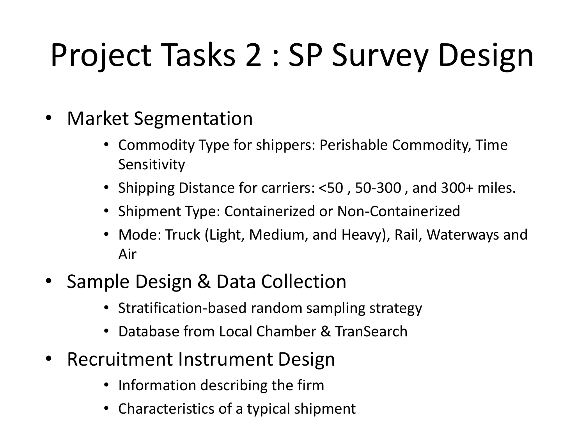# Project Tasks 2 : SP Survey Design

- Market Segmentation
	- Commodity Type for shippers: Perishable Commodity, Time Sensitivity
	- Shipping Distance for carriers: <50 , 50-300 , and 300+ miles.
	- Shipment Type: Containerized or Non-Containerized
	- Mode: Truck (Light, Medium, and Heavy), Rail, Waterways and Air
- Sample Design & Data Collection
	- Stratification-based random sampling strategy
	- Database from Local Chamber & TranSearch
- Recruitment Instrument Design
	- Information describing the firm
	- Characteristics of a typical shipment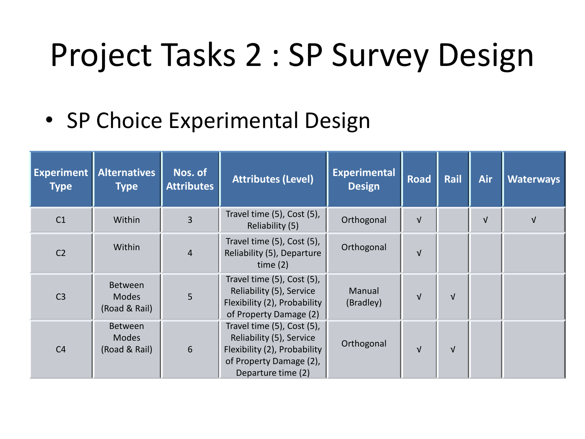## Project Tasks 2 : SP Survey Design

• SP Choice Experimental Design

| <b>Experiment</b>  <br><b>Type</b> | <b>Alternatives</b><br><b>Type</b>              | Nos. of<br><b>Attributes</b> | <b>Attributes (Level)</b>                                                                                                               | <b>Experimental</b><br><b>Design</b> | Road       | Rail       | <b>Air</b> | <b>Waterways</b> |
|------------------------------------|-------------------------------------------------|------------------------------|-----------------------------------------------------------------------------------------------------------------------------------------|--------------------------------------|------------|------------|------------|------------------|
| C <sub>1</sub>                     | Within                                          | $\overline{3}$               | Travel time (5), Cost (5),<br>Reliability (5)                                                                                           | Orthogonal                           | $\sqrt{ }$ |            | $\sqrt{ }$ | $\sqrt{ }$       |
| C <sub>2</sub>                     | Within                                          | $\overline{4}$               | Travel time (5), Cost (5),<br>Reliability (5), Departure<br>time $(2)$                                                                  | Orthogonal                           | $\sqrt{ }$ |            |            |                  |
| C <sub>3</sub>                     | Between<br><b>Modes</b><br>(Road & Rail)        | 5                            | Travel time (5), Cost (5),<br>Reliability (5), Service<br>Flexibility (2), Probability<br>of Property Damage (2)                        | Manual<br>(Bradley)                  | $\sqrt{ }$ | $\sqrt{ }$ |            |                  |
| C <sub>4</sub>                     | <b>Between</b><br><b>Modes</b><br>(Road & Rail) | 6                            | Travel time (5), Cost (5),<br>Reliability (5), Service<br>Flexibility (2), Probability<br>of Property Damage (2),<br>Departure time (2) | Orthogonal                           | $\sqrt{ }$ | $\sqrt{ }$ |            |                  |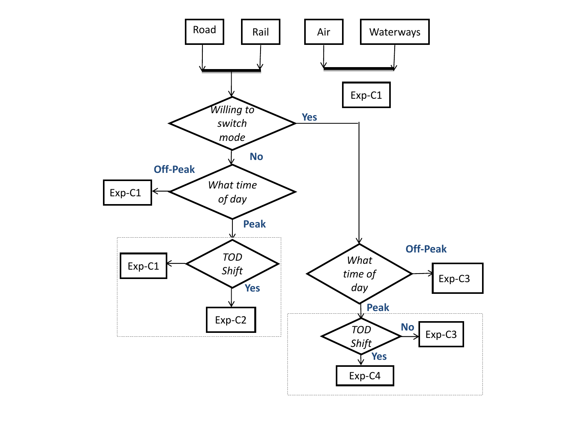